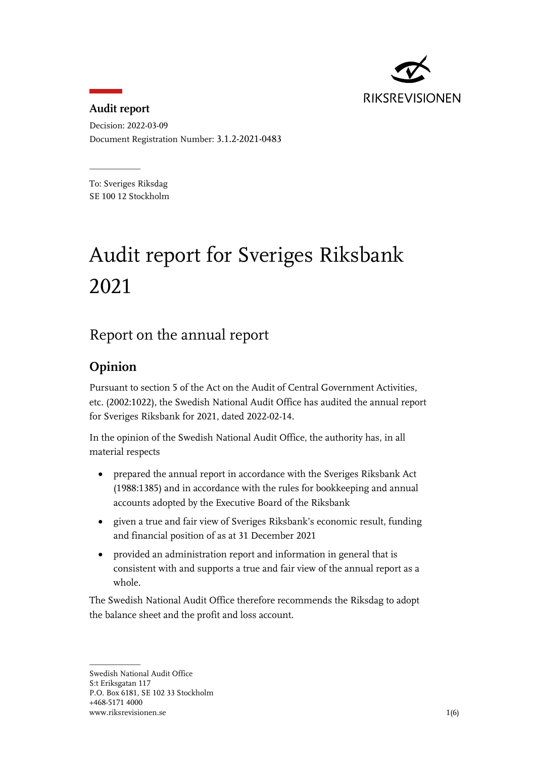

#### **Audit report**

Decision: 2022-03-09 Document Registration Number: 3.1.2-2021-0483

To: Sveriges Riksdag SE 100 12 Stockholm

# Audit report for Sveriges Riksbank 2021

# Report on the annual report

#### **Opinion**

Pursuant to section 5 of the Act on the Audit of Central Government Activities, etc. (2002:1022), the Swedish National Audit Office has audited the annual report for Sveriges Riksbank for 2021, dated 2022-02-14.

In the opinion of the Swedish National Audit Office, the authority has, in all material respects

- prepared the annual report in accordance with the Sveriges Riksbank Act (1988:1385) and in accordance with the rules for bookkeeping and annual accounts adopted by the Executive Board of the Riksbank
- given a true and fair view of Sveriges Riksbank's economic result, funding and financial position of as at 31 December 2021
- provided an administration report and information in general that is consistent with and supports a true and fair view of the annual report as a whole.

The Swedish National Audit Office therefore recommends the Riksdag to adopt the balance sheet and the profit and loss account.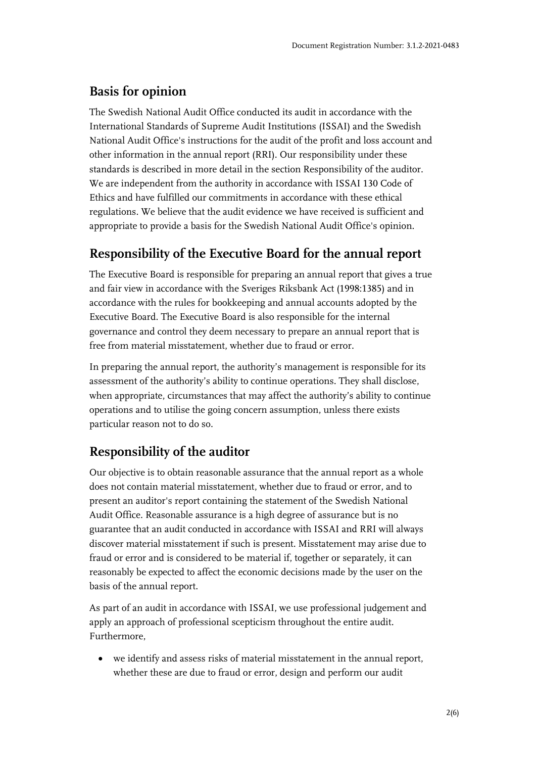#### **Basis for opinion**

The Swedish National Audit Office conducted its audit in accordance with the International Standards of Supreme Audit Institutions (ISSAI) and the Swedish National Audit Office's instructions for the audit of the profit and loss account and other information in the annual report (RRI). Our responsibility under these standards is described in more detail in the section Responsibility of the auditor. We are independent from the authority in accordance with ISSAI 130 Code of Ethics and have fulfilled our commitments in accordance with these ethical regulations. We believe that the audit evidence we have received is sufficient and appropriate to provide a basis for the Swedish National Audit Office's opinion.

#### **Responsibility of the Executive Board for the annual report**

The Executive Board is responsible for preparing an annual report that gives a true and fair view in accordance with the Sveriges Riksbank Act (1998:1385) and in accordance with the rules for bookkeeping and annual accounts adopted by the Executive Board. The Executive Board is also responsible for the internal governance and control they deem necessary to prepare an annual report that is free from material misstatement, whether due to fraud or error.

In preparing the annual report, the authority's management is responsible for its assessment of the authority's ability to continue operations. They shall disclose, when appropriate, circumstances that may affect the authority's ability to continue operations and to utilise the going concern assumption, unless there exists particular reason not to do so.

#### **Responsibility of the auditor**

Our objective is to obtain reasonable assurance that the annual report as a whole does not contain material misstatement, whether due to fraud or error, and to present an auditor's report containing the statement of the Swedish National Audit Office. Reasonable assurance is a high degree of assurance but is no guarantee that an audit conducted in accordance with ISSAI and RRI will always discover material misstatement if such is present. Misstatement may arise due to fraud or error and is considered to be material if, together or separately, it can reasonably be expected to affect the economic decisions made by the user on the basis of the annual report.

As part of an audit in accordance with ISSAI, we use professional judgement and apply an approach of professional scepticism throughout the entire audit. Furthermore,

 we identify and assess risks of material misstatement in the annual report, whether these are due to fraud or error, design and perform our audit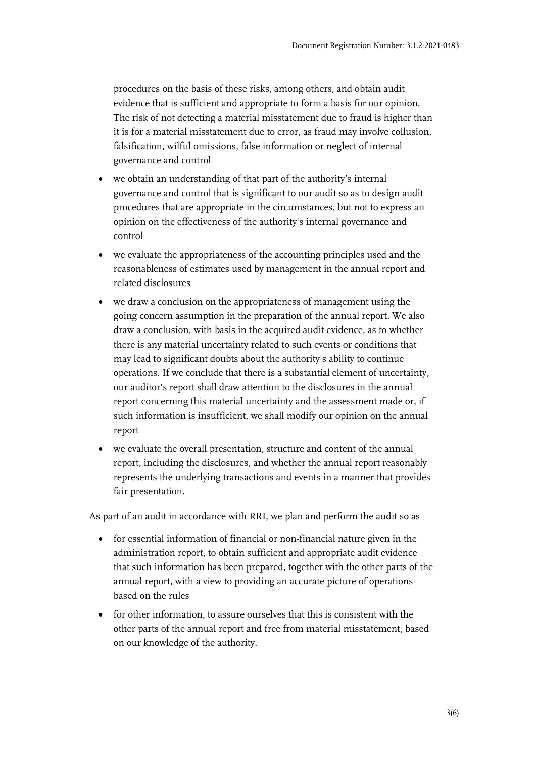procedures on the basis of these risks, among others, and obtain audit evidence that is sufficient and appropriate to form a basis for our opinion. The risk of not detecting a material misstatement due to fraud is higher than it is for a material misstatement due to error, as fraud may involve collusion, falsification, wilful omissions, false information or neglect of internal governance and control

- we obtain an understanding of that part of the authority's internal governance and control that is significant to our audit so as to design audit procedures that are appropriate in the circumstances, but not to express an opinion on the effectiveness of the authority's internal governance and control
- we evaluate the appropriateness of the accounting principles used and the reasonableness of estimates used by management in the annual report and related disclosures
- we draw a conclusion on the appropriateness of management using the going concern assumption in the preparation of the annual report. We also draw a conclusion, with basis in the acquired audit evidence, as to whether there is any material uncertainty related to such events or conditions that may lead to significant doubts about the authority's ability to continue operations. If we conclude that there is a substantial element of uncertainty, our auditor's report shall draw attention to the disclosures in the annual report concerning this material uncertainty and the assessment made or, if such information is insufficient, we shall modify our opinion on the annual report
- we evaluate the overall presentation, structure and content of the annual report, including the disclosures, and whether the annual report reasonably represents the underlying transactions and events in a manner that provides fair presentation.

As part of an audit in accordance with RRI, we plan and perform the audit so as

- for essential information of financial or non-financial nature given in the administration report, to obtain sufficient and appropriate audit evidence that such information has been prepared, together with the other parts of the annual report, with a view to providing an accurate picture of operations based on the rules
- for other information, to assure ourselves that this is consistent with the other parts of the annual report and free from material misstatement, based on our knowledge of the authority.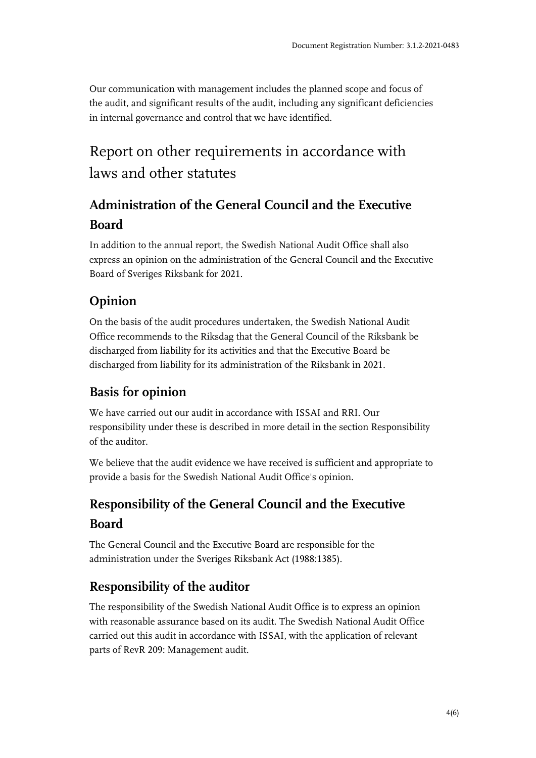Our communication with management includes the planned scope and focus of the audit, and significant results of the audit, including any significant deficiencies in internal governance and control that we have identified.

# Report on other requirements in accordance with laws and other statutes

# **Administration of the General Council and the Executive Board**

In addition to the annual report, the Swedish National Audit Office shall also express an opinion on the administration of the General Council and the Executive Board of Sveriges Riksbank for 2021.

# **Opinion**

On the basis of the audit procedures undertaken, the Swedish National Audit Office recommends to the Riksdag that the General Council of the Riksbank be discharged from liability for its activities and that the Executive Board be discharged from liability for its administration of the Riksbank in 2021.

# **Basis for opinion**

We have carried out our audit in accordance with ISSAI and RRI. Our responsibility under these is described in more detail in the section Responsibility of the auditor.

We believe that the audit evidence we have received is sufficient and appropriate to provide a basis for the Swedish National Audit Office's opinion.

# **Responsibility of the General Council and the Executive Board**

The General Council and the Executive Board are responsible for the administration under the Sveriges Riksbank Act (1988:1385).

# **Responsibility of the auditor**

The responsibility of the Swedish National Audit Office is to express an opinion with reasonable assurance based on its audit. The Swedish National Audit Office carried out this audit in accordance with ISSAI, with the application of relevant parts of RevR 209: Management audit.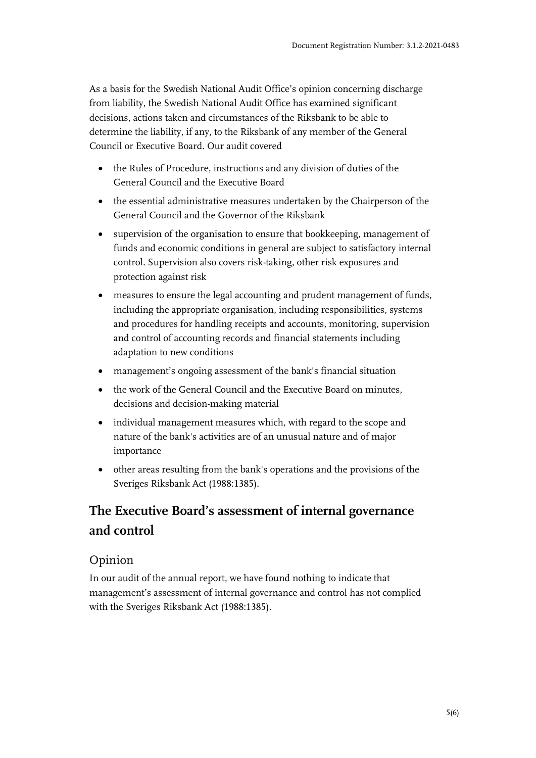As a basis for the Swedish National Audit Office's opinion concerning discharge from liability, the Swedish National Audit Office has examined significant decisions, actions taken and circumstances of the Riksbank to be able to determine the liability, if any, to the Riksbank of any member of the General Council or Executive Board. Our audit covered

- the Rules of Procedure, instructions and any division of duties of the General Council and the Executive Board
- the essential administrative measures undertaken by the Chairperson of the General Council and the Governor of the Riksbank
- supervision of the organisation to ensure that bookkeeping, management of funds and economic conditions in general are subject to satisfactory internal control. Supervision also covers risk-taking, other risk exposures and protection against risk
- measures to ensure the legal accounting and prudent management of funds, including the appropriate organisation, including responsibilities, systems and procedures for handling receipts and accounts, monitoring, supervision and control of accounting records and financial statements including adaptation to new conditions
- management's ongoing assessment of the bank's financial situation
- the work of the General Council and the Executive Board on minutes, decisions and decision-making material
- individual management measures which, with regard to the scope and nature of the bank's activities are of an unusual nature and of major importance
- other areas resulting from the bank's operations and the provisions of the Sveriges Riksbank Act (1988:1385).

# **The Executive Board's assessment of internal governance and control**

#### Opinion

In our audit of the annual report, we have found nothing to indicate that management's assessment of internal governance and control has not complied with the Sveriges Riksbank Act (1988:1385).